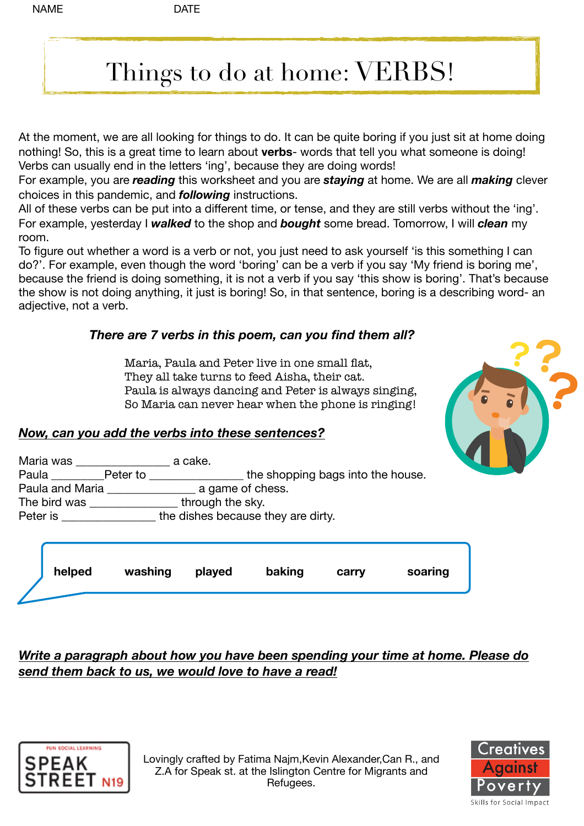# Things to do at home: VERBS!

At the moment, we are all looking for things to do. It can be quite boring if you just sit at home doing nothing! So, this is a great time to learn about **verbs**- words that tell you what someone is doing! Verbs can usually end in the letters 'ing', because they are doing words!

For example, you are *reading* this worksheet and you are *staying* at home. We are all *making* clever choices in this pandemic, and *following* instructions.

All of these verbs can be put into a different time, or tense, and they are still verbs without the 'ing'. For example, yesterday I *walked* to the shop and *bought* some bread. Tomorrow, I will *clean* my room.

To figure out whether a word is a verb or not, you just need to ask yourself 'is this something I can do?'. For example, even though the word 'boring' can be a verb if you say 'My friend is boring me', because the friend is doing something, it is not a verb if you say 'this show is boring'. That's because the show is not doing anything, it just is boring! So, in that sentence, boring is a describing word- an adjective, not a verb.

## *There are 7 verbs in this poem, can you find them all?*

 Maria, Paula and Peter live in one small flat, They all take turns to feed Aisha, their cat. Paula is always dancing and Peter is always singing, So Maria can never hear when the phone is ringing!



#### *Now, can you add the verbs into these sentences?*

| Maria was         | a cake.                            |
|-------------------|------------------------------------|
| Paula Peter to __ | the shopping bags into the house.  |
| Paula and Maria   | a game of chess.                   |
| The bird was      | through the sky.                   |
| Peter is          | the dishes because they are dirty. |
|                   |                                    |
|                   |                                    |



## *Write a paragraph about how you have been spending your time at home. Please do send them back to us, we would love to have a read!*